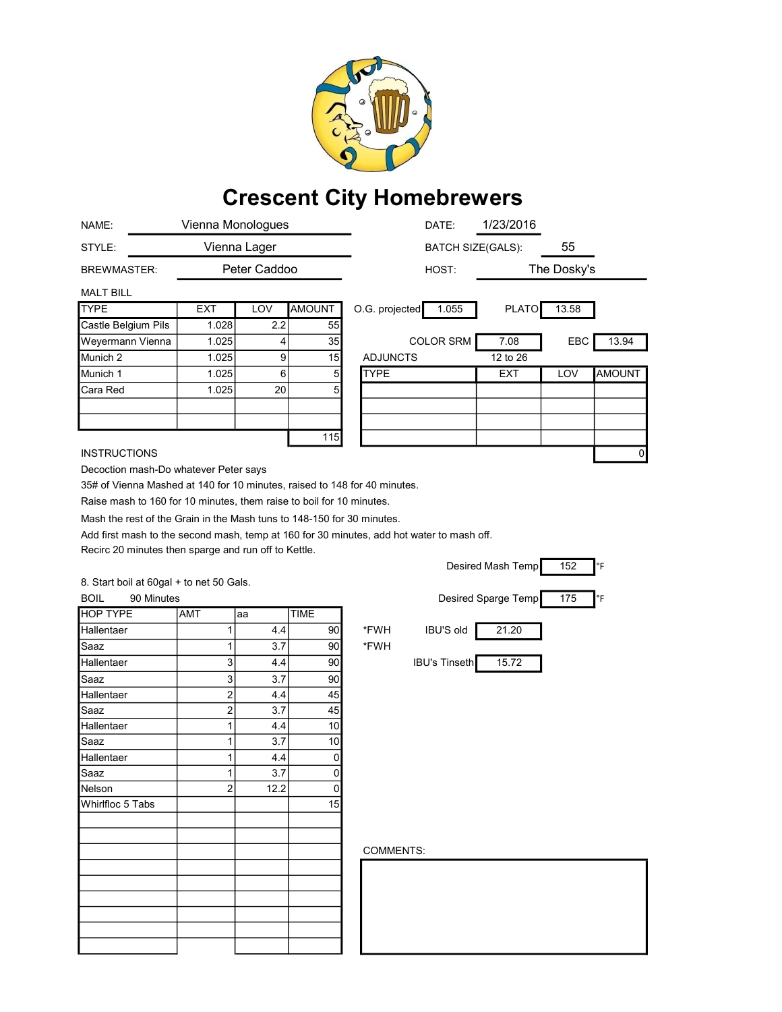

## Crescent City Homebrewers

| NAME:                                                                     | Vienna Monologues       |      |                | 1/23/2016<br>DATE:                                                                        |
|---------------------------------------------------------------------------|-------------------------|------|----------------|-------------------------------------------------------------------------------------------|
| STYLE:                                                                    | Vienna Lager            |      |                | 55<br><b>BATCH SIZE(GALS):</b>                                                            |
| <b>BREWMASTER:</b>                                                        | Peter Caddoo            |      |                | The Dosky's<br>HOST:                                                                      |
| <b>MALT BILL</b>                                                          |                         |      |                |                                                                                           |
| <b>TYPE</b>                                                               | <b>EXT</b>              | LOV  | <b>AMOUNT</b>  | <b>PLATO</b><br>O.G. projected<br>1.055<br>13.58                                          |
| Castle Belgium Pils                                                       | 1.028                   | 2.2  | 55             |                                                                                           |
| Weyermann Vienna                                                          | 1.025                   | 4    | 35             | <b>COLOR SRM</b><br>7.08<br>EBC<br>13.94                                                  |
| Munich <sub>2</sub>                                                       | 1.025                   | 9    | 15             | 12 to 26<br><b>ADJUNCTS</b>                                                               |
| Munich 1                                                                  | 1.025                   | 6    | 5              | <b>TYPE</b><br>EXT<br>LOV<br><b>AMOUNT</b>                                                |
| Cara Red                                                                  | 1.025                   | 20   | 5              |                                                                                           |
|                                                                           |                         |      |                |                                                                                           |
|                                                                           |                         |      |                |                                                                                           |
|                                                                           |                         |      | 115            |                                                                                           |
| <b>INSTRUCTIONS</b>                                                       |                         |      |                | 0                                                                                         |
| Decoction mash-Do whatever Peter says                                     |                         |      |                |                                                                                           |
| 35# of Vienna Mashed at 140 for 10 minutes, raised to 148 for 40 minutes. |                         |      |                |                                                                                           |
| Raise mash to 160 for 10 minutes, them raise to boil for 10 minutes.      |                         |      |                |                                                                                           |
| Mash the rest of the Grain in the Mash tuns to 148-150 for 30 minutes.    |                         |      |                |                                                                                           |
|                                                                           |                         |      |                | Add first mash to the second mash, temp at 160 for 30 minutes, add hot water to mash off. |
| Recirc 20 minutes then sparge and run off to Kettle.                      |                         |      |                |                                                                                           |
|                                                                           |                         |      |                | 152<br>Desired Mash Temp<br>°F                                                            |
| 8. Start boil at 60gal + to net 50 Gals.                                  |                         |      |                |                                                                                           |
| <b>BOIL</b><br>90 Minutes                                                 |                         |      |                | Desired Sparge Temp<br>175<br>°F                                                          |
| <b>HOP TYPE</b>                                                           | AMT                     | aa   | <b>TIME</b>    |                                                                                           |
| Hallentaer                                                                | 1                       | 4.4  | 90             | *FWH<br><b>IBU'S old</b><br>21.20                                                         |
| Saaz                                                                      | 1                       | 3.7  | 90             | *FWH                                                                                      |
| Hallentaer                                                                | 3                       | 4.4  | 90             | <b>IBU's Tinseth</b><br>15.72                                                             |
| Saaz                                                                      | 3                       | 3.7  | 90             |                                                                                           |
| Hallentaer                                                                | $\overline{\mathbf{c}}$ | 4.4  | 45             |                                                                                           |
| Saaz                                                                      | $\overline{\mathbf{c}}$ | 3.7  | 45             |                                                                                           |
| Hallentaer                                                                | 1                       | 4.4  | 10             |                                                                                           |
| Saaz                                                                      | 1                       | 3.7  | 10             |                                                                                           |
| Hallentaer                                                                | 1                       | 4.4  | $\overline{0}$ |                                                                                           |
| Saaz                                                                      | 1                       | 3.7  | 0              |                                                                                           |
| Nelson                                                                    | $\overline{c}$          | 12.2 | 0              |                                                                                           |
| Whirlfloc 5 Tabs                                                          |                         |      | 15             |                                                                                           |
|                                                                           |                         |      |                |                                                                                           |
|                                                                           |                         |      |                |                                                                                           |
|                                                                           |                         |      |                |                                                                                           |
|                                                                           |                         |      |                | COMMENTS:                                                                                 |
|                                                                           |                         |      |                |                                                                                           |
|                                                                           |                         |      |                |                                                                                           |
|                                                                           |                         |      |                |                                                                                           |
|                                                                           |                         |      |                |                                                                                           |
|                                                                           |                         |      |                |                                                                                           |
|                                                                           |                         |      |                |                                                                                           |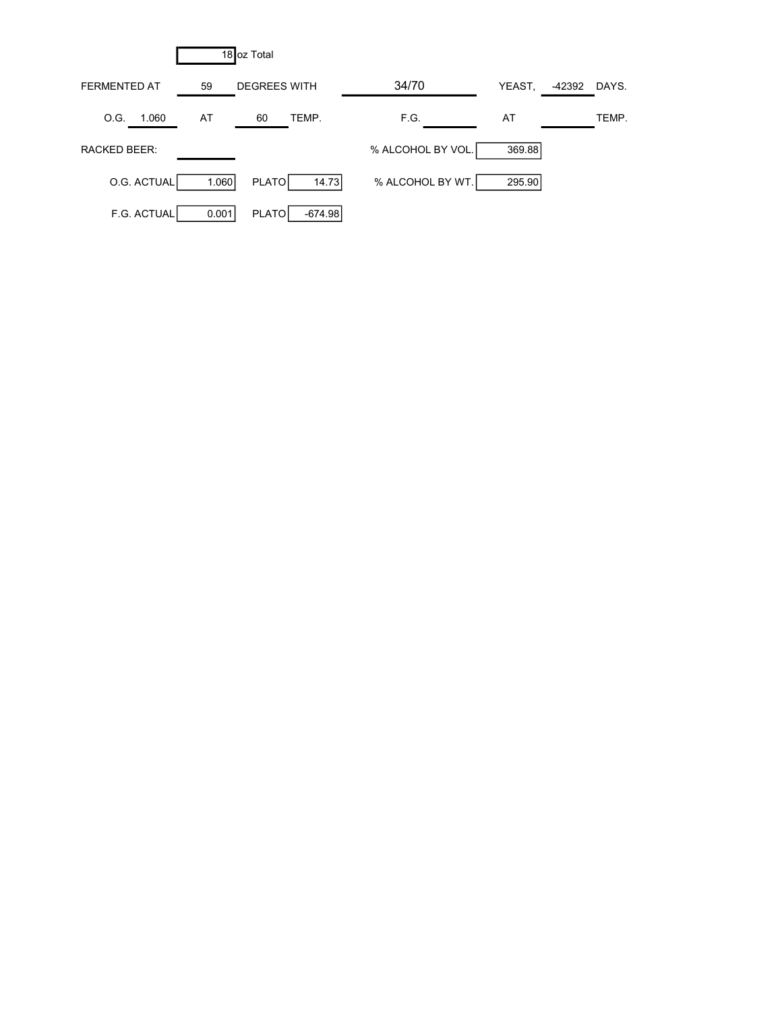